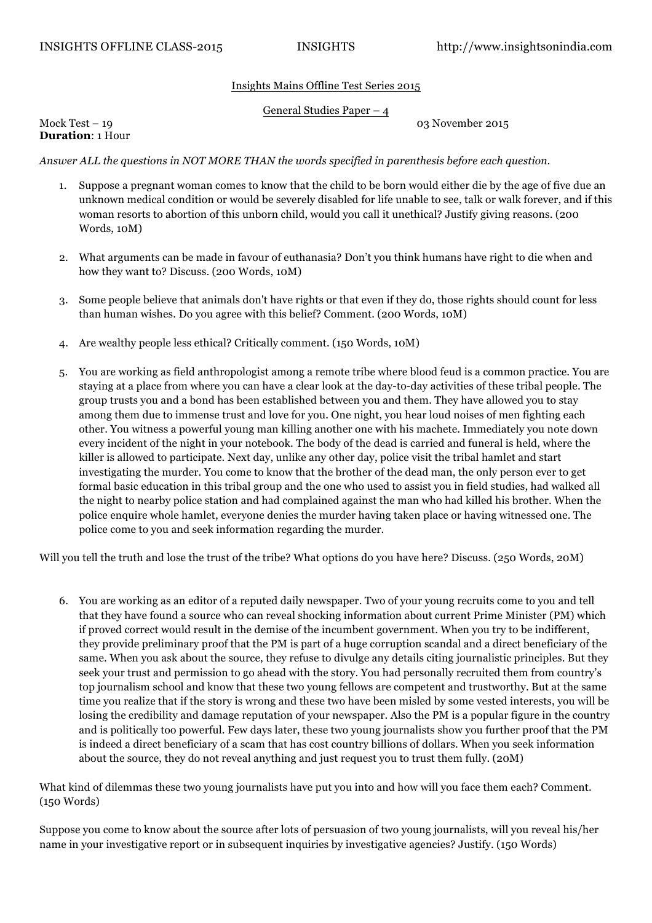## Insights Mains Offline Test Series 2015

## General Studies Paper – 4

Mock Test – 19 03 November 2015

**Duration**: 1 Hour

*Answer ALL the questions in NOT MORE THAN the words specified in parenthesis before each question.* 

- 1. Suppose a pregnant woman comes to know that the child to be born would either die by the age of five due an unknown medical condition or would be severely disabled for life unable to see, talk or walk forever, and if this woman resorts to abortion of this unborn child, would you call it unethical? Justify giving reasons. (200 Words, 10M)
- 2. What arguments can be made in favour of euthanasia? Don't you think humans have right to die when and how they want to? Discuss. (200 Words, 10M)
- 3. Some people believe that animals don't have rights or that even if they do, those rights should count for less than human wishes. Do you agree with this belief? Comment. (200 Words, 10M)
- 4. Are wealthy people less ethical? Critically comment. (150 Words, 10M)
- 5. You are working as field anthropologist among a remote tribe where blood feud is a common practice. You are staying at a place from where you can have a clear look at the day-to-day activities of these tribal people. The group trusts you and a bond has been established between you and them. They have allowed you to stay among them due to immense trust and love for you. One night, you hear loud noises of men fighting each other. You witness a powerful young man killing another one with his machete. Immediately you note down every incident of the night in your notebook. The body of the dead is carried and funeral is held, where the killer is allowed to participate. Next day, unlike any other day, police visit the tribal hamlet and start investigating the murder. You come to know that the brother of the dead man, the only person ever to get formal basic education in this tribal group and the one who used to assist you in field studies, had walked all the night to nearby police station and had complained against the man who had killed his brother. When the police enquire whole hamlet, everyone denies the murder having taken place or having witnessed one. The police come to you and seek information regarding the murder.

Will you tell the truth and lose the trust of the tribe? What options do you have here? Discuss. (250 Words, 20M)

6. You are working as an editor of a reputed daily newspaper. Two of your young recruits come to you and tell that they have found a source who can reveal shocking information about current Prime Minister (PM) which if proved correct would result in the demise of the incumbent government. When you try to be indifferent, they provide preliminary proof that the PM is part of a huge corruption scandal and a direct beneficiary of the same. When you ask about the source, they refuse to divulge any details citing journalistic principles. But they seek your trust and permission to go ahead with the story. You had personally recruited them from country's top journalism school and know that these two young fellows are competent and trustworthy. But at the same time you realize that if the story is wrong and these two have been misled by some vested interests, you will be losing the credibility and damage reputation of your newspaper. Also the PM is a popular figure in the country and is politically too powerful. Few days later, these two young journalists show you further proof that the PM is indeed a direct beneficiary of a scam that has cost country billions of dollars. When you seek information about the source, they do not reveal anything and just request you to trust them fully. (20M)

What kind of dilemmas these two young journalists have put you into and how will you face them each? Comment. (150 Words)

Suppose you come to know about the source after lots of persuasion of two young journalists, will you reveal his/her name in your investigative report or in subsequent inquiries by investigative agencies? Justify. (150 Words)